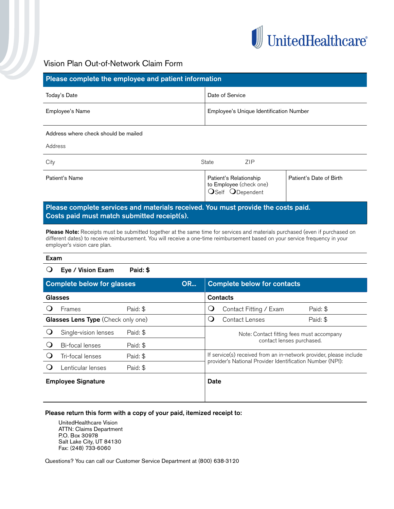

# Vision Plan Out-of-Network Claim Form

| Please complete the employee and patient information                         |                                                                       |                         |  |  |  |  |  |
|------------------------------------------------------------------------------|-----------------------------------------------------------------------|-------------------------|--|--|--|--|--|
| Today's Date                                                                 | Date of Service                                                       |                         |  |  |  |  |  |
| Employee's Name                                                              | Employee's Unique Identification Number                               |                         |  |  |  |  |  |
| Address where check should be mailed                                         |                                                                       |                         |  |  |  |  |  |
| Address                                                                      |                                                                       |                         |  |  |  |  |  |
| State<br><b>ZIP</b><br>City                                                  |                                                                       |                         |  |  |  |  |  |
| Patient's Name                                                               | Patient's Relationship<br>to Employee (check one)<br>OSelf ODependent | Patient's Date of Birth |  |  |  |  |  |
| <b>TALL</b><br><b>Contract Contract</b><br><b>Contract Contract Contract</b> | .<br><b>INVESTIGATION</b>                                             | . .                     |  |  |  |  |  |

## Please complete services and materials received. You must provide the costs paid. Costs paid must match submitted receipt(s).

Please Note: Receipts must be submitted together at the same time for services and materials purchased (even if purchased on different dates) to receive reimbursement. You will receive a one-time reimbursement based on your service frequency in your employer's vision care plan.

#### Exam

### $\bigcirc$  Eye / Vision Exam Paid: \$

| <b>OR</b><br><b>Complete below for glasses</b> |                        |          | <b>Complete below for contacts</b> |                                                                                                                                 |                        |          |
|------------------------------------------------|------------------------|----------|------------------------------------|---------------------------------------------------------------------------------------------------------------------------------|------------------------|----------|
| Glasses                                        |                        |          | Contacts                           |                                                                                                                                 |                        |          |
|                                                | Frames                 | Paid: \$ |                                    | Q                                                                                                                               | Contact Fitting / Exam | Paid: \$ |
| Glasses Lens Type (Check only one)             |                        |          | Ò                                  | Contact Lenses                                                                                                                  | Paid: \$               |          |
|                                                | Single-vision lenses   | Paid: \$ |                                    | Note: Contact fitting fees must accompany<br>contact lenses purchased.                                                          |                        |          |
|                                                | <b>Bi-focal lenses</b> | Paid: \$ |                                    |                                                                                                                                 |                        |          |
|                                                | Tri-focal lenses       | Paid: \$ |                                    | If service(s) received from an in-network provider, please include<br>provider's National Provider Identification Number (NPI): |                        |          |
|                                                | enticular lenses_      | Paid: \$ |                                    |                                                                                                                                 |                        |          |
| <b>Employee Signature</b>                      |                        | Date     |                                    |                                                                                                                                 |                        |          |
|                                                |                        |          |                                    |                                                                                                                                 |                        |          |

#### Please return this form with a copy of your paid, itemized receipt to:

UnitedHealthcare Vision ATTN: Claims Department P.O. Box 30978 Salt Lake City, UT 84130 Fax: (248) 733-6060

Questions? You can call our Customer Service Department at (800) 638-3120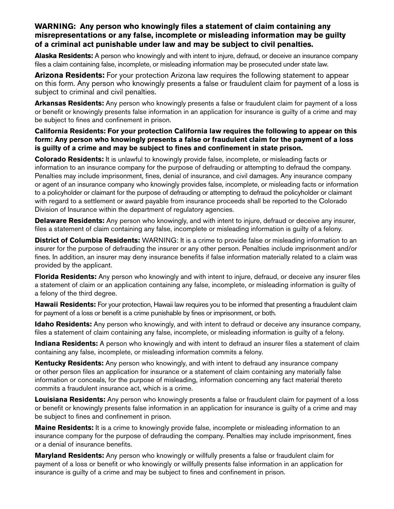## **WARNING: Any person who knowingly files a statement of claim containing any misrepresentations or any false, incomplete or misleading information may be guilty of a criminal act punishable under law and may be subject to civil penalties.**

**Alaska Residents:** A person who knowingly and with intent to injure, defraud, or deceive an insurance company files a claim containing false, incomplete, or misleading information may be prosecuted under state law.

**Arizona Residents:** For your protection Arizona law requires the following statement to appear on this form. Any person who knowingly presents a false or fraudulent claim for payment of a loss is subject to criminal and civil penalties.

**Arkansas Residents:** Any person who knowingly presents a false or fraudulent claim for payment of a loss or benefit or knowingly presents false information in an application for insurance is guilty of a crime and may be subject to fines and confinement in prison.

**California Residents: For your protection California law requires the following to appear on this form: Any person who knowingly presents a false or fraudulent claim for the payment of a loss is guilty of a crime and may be subject to fines and confinement in state prison.**

**Colorado Residents:** It is unlawful to knowingly provide false, incomplete, or misleading facts or information to an insurance company for the purpose of defrauding or attempting to defraud the company. Penalties may include imprisonment, fines, denial of insurance, and civil damages. Any insurance company or agent of an insurance company who knowingly provides false, incomplete, or misleading facts or information to a policyholder or claimant for the purpose of defrauding or attempting to defraud the policyholder or claimant with regard to a settlement or award payable from insurance proceeds shall be reported to the Colorado Division of Insurance within the department of regulatory agencies.

**Delaware Residents:** Any person who knowingly, and with intent to injure, defraud or deceive any insurer, files a statement of claim containing any false, incomplete or misleading information is guilty of a felony.

**District of Columbia Residents:** WARNING: It is a crime to provide false or misleading information to an insurer for the purpose of defrauding the insurer or any other person. Penalties include imprisonment and/or fines. In addition, an insurer may deny insurance benefits if false information materially related to a claim was provided by the applicant.

**Florida Residents:** Any person who knowingly and with intent to injure, defraud, or deceive any insurer files a statement of claim or an application containing any false, incomplete, or misleading information is guilty of a felony of the third degree.

**Hawaii Residents:** For your protection, Hawaii law requires you to be informed that presenting a fraudulent claim for payment of a loss or benefit is a crime punishable by fines or imprisonment, or both.

**Idaho Residents:** Any person who knowingly, and with intent to defraud or deceive any insurance company, files a statement of claim containing any false, incomplete, or misleading information is guilty of a felony.

**Indiana Residents:** A person who knowingly and with intent to defraud an insurer files a statement of claim containing any false, incomplete, or misleading information commits a felony.

**Kentucky Residents:** Any person who knowingly, and with intent to defraud any insurance company or other person files an application for insurance or a statement of claim containing any materially false information or conceals, for the purpose of misleading, information concerning any fact material thereto commits a fraudulent insurance act, which is a crime.

**Louisiana Residents:** Any person who knowingly presents a false or fraudulent claim for payment of a loss or benefit or knowingly presents false information in an application for insurance is guilty of a crime and may be subject to fines and confinement in prison.

**Maine Residents:** It is a crime to knowingly provide false, incomplete or misleading information to an insurance company for the purpose of defrauding the company. Penalties may include imprisonment, fines or a denial of insurance benefits.

**Maryland Residents:** Any person who knowingly or willfully presents a false or fraudulent claim for payment of a loss or benefit or who knowingly or willfully presents false information in an application for insurance is guilty of a crime and may be subject to fines and confinement in prison.